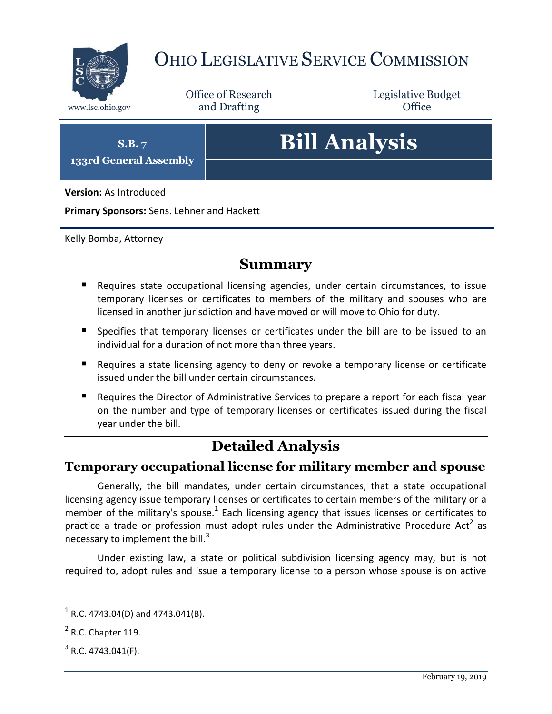

# OHIO LEGISLATIVE SERVICE COMMISSION

Office of Research www.lsc.ohio.gov and Drafting Control Control of Control Control Office

Legislative Budget

**S.B. 7**

**133rd General Assembly**

# **Bill Analysis**

**Version:** As Introduced

**Primary Sponsors:** Sens. Lehner and Hackett

Kelly Bomba, Attorney

#### **Summary**

- Requires state occupational licensing agencies, under certain circumstances, to issue temporary licenses or certificates to members of the military and spouses who are licensed in another jurisdiction and have moved or will move to Ohio for duty.
- **Specifies that temporary licenses or certificates under the bill are to be issued to an** individual for a duration of not more than three years.
- **Requires a state licensing agency to deny or revoke a temporary license or certificate** issued under the bill under certain circumstances.
- Requires the Director of Administrative Services to prepare a report for each fiscal year on the number and type of temporary licenses or certificates issued during the fiscal year under the bill.

## **Detailed Analysis**

#### **Temporary occupational license for military member and spouse**

Generally, the bill mandates, under certain circumstances, that a state occupational licensing agency issue temporary licenses or certificates to certain members of the military or a member of the military's spouse.<sup>1</sup> Each licensing agency that issues licenses or certificates to practice a trade or profession must adopt rules under the Administrative Procedure Act<sup>2</sup> as necessary to implement the bill. $3$ 

Under existing law, a state or political subdivision licensing agency may, but is not required to, adopt rules and issue a temporary license to a person whose spouse is on active

 $\overline{a}$ 

 $1$  R.C. 4743.04(D) and 4743.041(B).

 $<sup>2</sup>$  R.C. Chapter 119.</sup>

 $3$  R.C. 4743.041(F).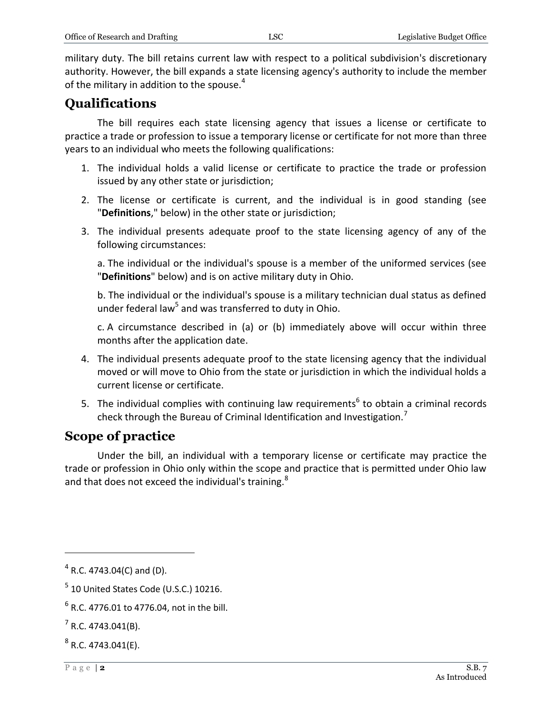military duty. The bill retains current law with respect to a political subdivision's discretionary authority. However, the bill expands a state licensing agency's authority to include the member of the military in addition to the spouse.<sup>4</sup>

## **Qualifications**

The bill requires each state licensing agency that issues a license or certificate to practice a trade or profession to issue a temporary license or certificate for not more than three years to an individual who meets the following qualifications:

- 1. The individual holds a valid license or certificate to practice the trade or profession issued by any other state or jurisdiction;
- 2. The license or certificate is current, and the individual is in good standing (see "**Definitions**," below) in the other state or jurisdiction;
- 3. The individual presents adequate proof to the state licensing agency of any of the following circumstances:

a. The individual or the individual's spouse is a member of the uniformed services (see "**Definitions**" below) and is on active military duty in Ohio.

b. The individual or the individual's spouse is a military technician dual status as defined under federal law<sup>5</sup> and was transferred to duty in Ohio.

c. A circumstance described in (a) or (b) immediately above will occur within three months after the application date.

- 4. The individual presents adequate proof to the state licensing agency that the individual moved or will move to Ohio from the state or jurisdiction in which the individual holds a current license or certificate.
- 5. The individual complies with continuing law requirements<sup>6</sup> to obtain a criminal records check through the Bureau of Criminal Identification and Investigation.<sup>7</sup>

#### **Scope of practice**

Under the bill, an individual with a temporary license or certificate may practice the trade or profession in Ohio only within the scope and practice that is permitted under Ohio law and that does not exceed the individual's training.<sup>8</sup>

 $\overline{a}$ 

 $4$  R.C. 4743.04(C) and (D).

 $<sup>5</sup>$  10 United States Code (U.S.C.) 10216.</sup>

 $^6$  R.C. 4776.01 to 4776.04, not in the bill.

 $7$  R.C. 4743.041(B).

 $^8$  R.C. 4743.041(E).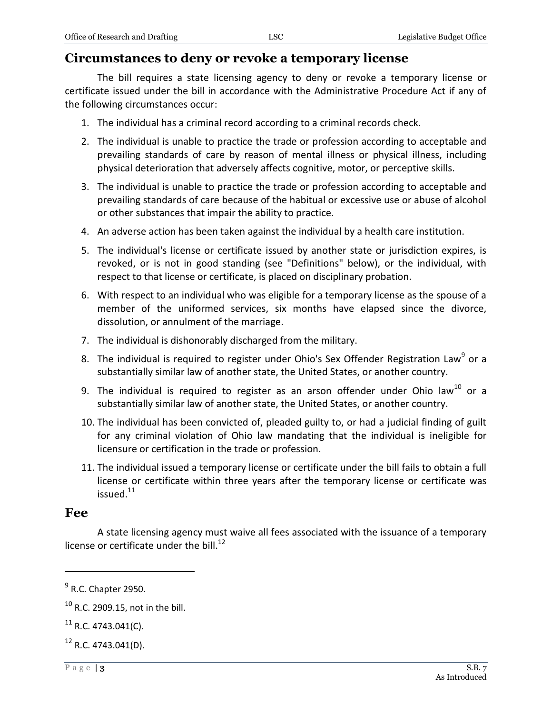#### **Circumstances to deny or revoke a temporary license**

The bill requires a state licensing agency to deny or revoke a temporary license or certificate issued under the bill in accordance with the Administrative Procedure Act if any of the following circumstances occur:

- 1. The individual has a criminal record according to a criminal records check.
- 2. The individual is unable to practice the trade or profession according to acceptable and prevailing standards of care by reason of mental illness or physical illness, including physical deterioration that adversely affects cognitive, motor, or perceptive skills.
- 3. The individual is unable to practice the trade or profession according to acceptable and prevailing standards of care because of the habitual or excessive use or abuse of alcohol or other substances that impair the ability to practice.
- 4. An adverse action has been taken against the individual by a health care institution.
- 5. The individual's license or certificate issued by another state or jurisdiction expires, is revoked, or is not in good standing (see "Definitions" below), or the individual, with respect to that license or certificate, is placed on disciplinary probation.
- 6. With respect to an individual who was eligible for a temporary license as the spouse of a member of the uniformed services, six months have elapsed since the divorce, dissolution, or annulment of the marriage.
- 7. The individual is dishonorably discharged from the military.
- 8. The individual is required to register under Ohio's Sex Offender Registration Law<sup>9</sup> or a substantially similar law of another state, the United States, or another country.
- 9. The individual is required to register as an arson offender under Ohio law<sup>10</sup> or a substantially similar law of another state, the United States, or another country.
- 10. The individual has been convicted of, pleaded guilty to, or had a judicial finding of guilt for any criminal violation of Ohio law mandating that the individual is ineligible for licensure or certification in the trade or profession.
- 11. The individual issued a temporary license or certificate under the bill fails to obtain a full license or certificate within three years after the temporary license or certificate was issued.<sup>11</sup>

#### **Fee**

 $\overline{a}$ 

A state licensing agency must waive all fees associated with the issuance of a temporary license or certificate under the bill.<sup>12</sup>

 $<sup>9</sup>$  R.C. Chapter 2950.</sup>

 $10$  R.C. 2909.15, not in the bill.

 $11$  R.C. 4743.041(C).

 $12$  R.C. 4743.041(D).